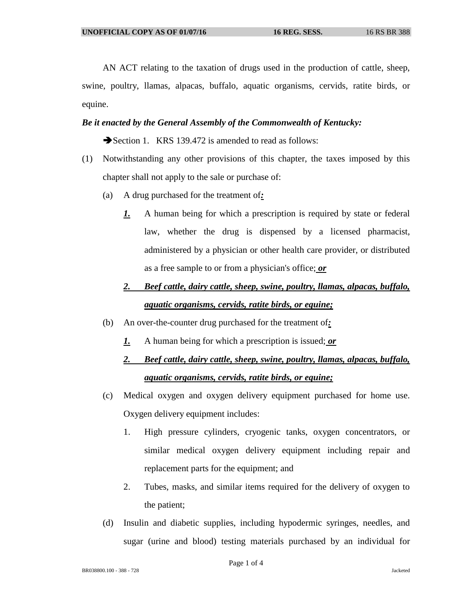AN ACT relating to the taxation of drugs used in the production of cattle, sheep, swine, poultry, llamas, alpacas, buffalo, aquatic organisms, cervids, ratite birds, or equine.

## *Be it enacted by the General Assembly of the Commonwealth of Kentucky:*

Section 1. KRS 139.472 is amended to read as follows:

- (1) Notwithstanding any other provisions of this chapter, the taxes imposed by this chapter shall not apply to the sale or purchase of:
	- (a) A drug purchased for the treatment of*:*
		- *1.* A human being for which a prescription is required by state or federal law, whether the drug is dispensed by a licensed pharmacist, administered by a physician or other health care provider, or distributed as a free sample to or from a physician's office; *or*

## *2. Beef cattle, dairy cattle, sheep, swine, poultry, llamas, alpacas, buffalo, aquatic organisms, cervids, ratite birds, or equine;*

- (b) An over-the-counter drug purchased for the treatment of*:*
	- *1.* A human being for which a prescription is issued; *or*

## *2. Beef cattle, dairy cattle, sheep, swine, poultry, llamas, alpacas, buffalo, aquatic organisms, cervids, ratite birds, or equine;*

- (c) Medical oxygen and oxygen delivery equipment purchased for home use. Oxygen delivery equipment includes:
	- 1. High pressure cylinders, cryogenic tanks, oxygen concentrators, or similar medical oxygen delivery equipment including repair and replacement parts for the equipment; and
	- 2. Tubes, masks, and similar items required for the delivery of oxygen to the patient;
- (d) Insulin and diabetic supplies, including hypodermic syringes, needles, and sugar (urine and blood) testing materials purchased by an individual for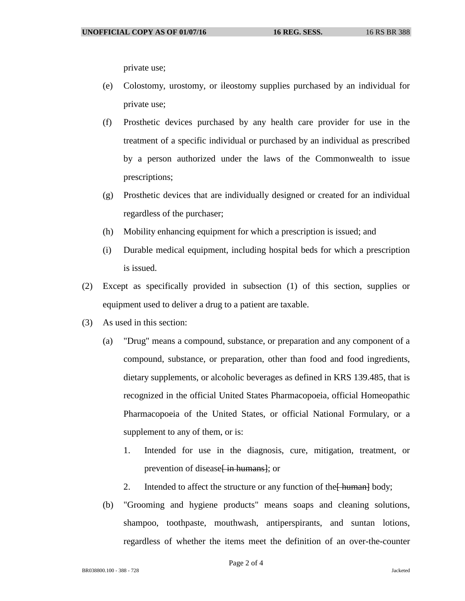private use;

- (e) Colostomy, urostomy, or ileostomy supplies purchased by an individual for private use;
- (f) Prosthetic devices purchased by any health care provider for use in the treatment of a specific individual or purchased by an individual as prescribed by a person authorized under the laws of the Commonwealth to issue prescriptions;
- (g) Prosthetic devices that are individually designed or created for an individual regardless of the purchaser;
- (h) Mobility enhancing equipment for which a prescription is issued; and
- (i) Durable medical equipment, including hospital beds for which a prescription is issued.
- (2) Except as specifically provided in subsection (1) of this section, supplies or equipment used to deliver a drug to a patient are taxable.
- (3) As used in this section:
	- (a) "Drug" means a compound, substance, or preparation and any component of a compound, substance, or preparation, other than food and food ingredients, dietary supplements, or alcoholic beverages as defined in KRS 139.485, that is recognized in the official United States Pharmacopoeia, official Homeopathic Pharmacopoeia of the United States, or official National Formulary, or a supplement to any of them, or is:
		- 1. Intended for use in the diagnosis, cure, mitigation, treatment, or prevention of disease<del>[ in humans]</del>; or
		- 2. Intended to affect the structure or any function of the  $\frac{H_{\text{num}}}{H_{\text{num}}}$  body;
	- (b) "Grooming and hygiene products" means soaps and cleaning solutions, shampoo, toothpaste, mouthwash, antiperspirants, and suntan lotions, regardless of whether the items meet the definition of an over-the-counter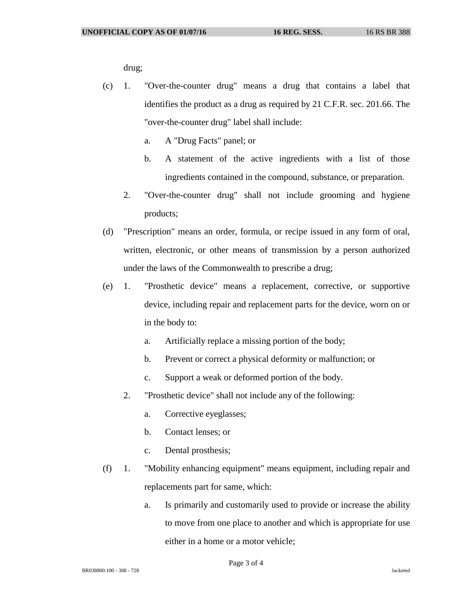drug;

- (c) 1. "Over-the-counter drug" means a drug that contains a label that identifies the product as a drug as required by 21 C.F.R. sec. 201.66. The "over-the-counter drug" label shall include:
	- a. A "Drug Facts" panel; or
	- b. A statement of the active ingredients with a list of those ingredients contained in the compound, substance, or preparation.
	- 2. "Over-the-counter drug" shall not include grooming and hygiene products;
- (d) "Prescription" means an order, formula, or recipe issued in any form of oral, written, electronic, or other means of transmission by a person authorized under the laws of the Commonwealth to prescribe a drug;
- (e) 1. "Prosthetic device" means a replacement, corrective, or supportive device, including repair and replacement parts for the device, worn on or in the body to:
	- a. Artificially replace a missing portion of the body;
	- b. Prevent or correct a physical deformity or malfunction; or
	- c. Support a weak or deformed portion of the body.
	- 2. "Prosthetic device" shall not include any of the following:
		- a. Corrective eyeglasses;
		- b. Contact lenses; or
		- c. Dental prosthesis;
- (f) 1. "Mobility enhancing equipment" means equipment, including repair and replacements part for same, which:
	- a. Is primarily and customarily used to provide or increase the ability to move from one place to another and which is appropriate for use either in a home or a motor vehicle;